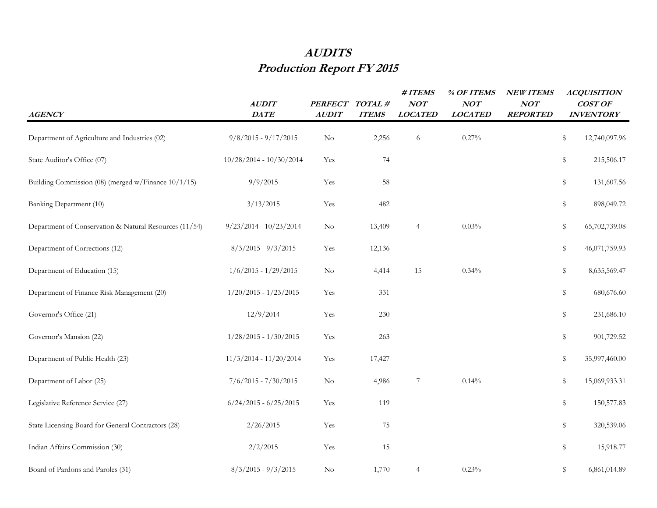## **AUDITS Production Report FY 2015**

| <b>AGENCY</b>                                          | <b>AUDIT</b><br><b>DATE</b> | <b>PERFECT</b><br><b>AUDIT</b> | TOTAL#<br><b>ITEMS</b> | #ITEMS<br>NOT<br><b>LOCATED</b> | % OF ITEMS<br>NOT<br><b>LOCATED</b> | <b>NEW ITEMS</b><br>NOT<br><b>REPORTED</b> | <b>ACQUISITION</b><br>COST OF<br><b>INVENTORY</b> |
|--------------------------------------------------------|-----------------------------|--------------------------------|------------------------|---------------------------------|-------------------------------------|--------------------------------------------|---------------------------------------------------|
| Department of Agriculture and Industries (02)          | $9/8/2015 - 9/17/2015$      | N <sub>o</sub>                 | 2,256                  | $\sqrt{6}$                      | 0.27%                               |                                            | \$<br>12,740,097.96                               |
| State Auditor's Office (07)                            | $10/28/2014 - 10/30/2014$   | Yes                            | 74                     |                                 |                                     |                                            | \$<br>215,506.17                                  |
| Building Commission (08) (merged w/Finance 10/1/15)    | 9/9/2015                    | Yes                            | 58                     |                                 |                                     |                                            | \$<br>131,607.56                                  |
| Banking Department (10)                                | 3/13/2015                   | Yes                            | 482                    |                                 |                                     |                                            | \$<br>898,049.72                                  |
| Department of Conservation & Natural Resources (11/54) | $9/23/2014 - 10/23/2014$    | N <sub>o</sub>                 | 13,409                 | $\overline{4}$                  | 0.03%                               |                                            | \$<br>65,702,739.08                               |
| Department of Corrections (12)                         | $8/3/2015 - 9/3/2015$       | Yes                            | 12,136                 |                                 |                                     |                                            | \$<br>46,071,759.93                               |
| Department of Education (15)                           | $1/6/2015 - 1/29/2015$      | $\rm No$                       | 4,414                  | 15                              | 0.34%                               |                                            | \$<br>8,635,569.47                                |
| Department of Finance Risk Management (20)             | $1/20/2015 - 1/23/2015$     | Yes                            | 331                    |                                 |                                     |                                            | \$<br>680,676.60                                  |
| Governor's Office (21)                                 | 12/9/2014                   | Yes                            | 230                    |                                 |                                     |                                            | \$<br>231,686.10                                  |
| Governor's Mansion (22)                                | $1/28/2015 - 1/30/2015$     | Yes                            | 263                    |                                 |                                     |                                            | \$<br>901,729.52                                  |
| Department of Public Health (23)                       | $11/3/2014 - 11/20/2014$    | Yes                            | 17,427                 |                                 |                                     |                                            | \$<br>35,997,460.00                               |
| Department of Labor (25)                               | $7/6/2015 - 7/30/2015$      | $\rm No$                       | 4,986                  | $\overline{7}$                  | 0.14%                               |                                            | \$<br>15,069,933.31                               |
| Legislative Reference Service (27)                     | $6/24/2015 - 6/25/2015$     | Yes                            | 119                    |                                 |                                     |                                            | \$<br>150,577.83                                  |
| State Licensing Board for General Contractors (28)     | 2/26/2015                   | Yes                            | 75                     |                                 |                                     |                                            | \$<br>320,539.06                                  |
| Indian Affairs Commission (30)                         | 2/2/2015                    | Yes                            | 15                     |                                 |                                     |                                            | \$<br>15,918.77                                   |
| Board of Pardons and Paroles (31)                      | $8/3/2015 - 9/3/2015$       | N <sub>o</sub>                 | 1,770                  | $\overline{4}$                  | 0.23%                               |                                            | \$<br>6,861,014.89                                |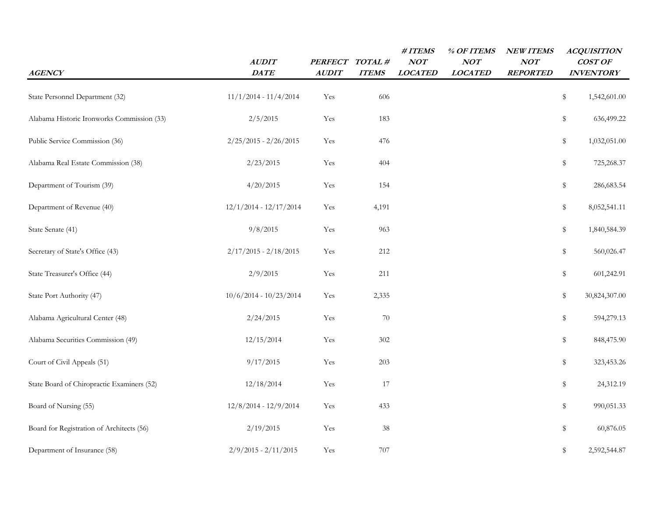| <b>AGENCY</b>                              | AUDIT<br><b>DATE</b>     | <b>PERFECT</b><br><b>AUDIT</b> | TOTAL#<br><b>ITEMS</b> | #ITEMS<br><b>NOT</b><br><b>LOCATED</b> | % OF ITEMS<br>NOT<br><b>LOCATED</b> | <b>NEW ITEMS</b><br>NOT<br><b>REPORTED</b> | <b>ACQUISITION</b><br>COST OF<br><b>INVENTORY</b> |           |
|--------------------------------------------|--------------------------|--------------------------------|------------------------|----------------------------------------|-------------------------------------|--------------------------------------------|---------------------------------------------------|-----------|
| State Personnel Department (32)            | $11/1/2014 - 11/4/2014$  | Yes                            | 606                    |                                        |                                     |                                            | \$<br>1,542,601.00                                |           |
| Alabama Historic Ironworks Commission (33) | 2/5/2015                 | Yes                            | 183                    |                                        |                                     |                                            | \$<br>636,499.22                                  |           |
| Public Service Commission (36)             | $2/25/2015 - 2/26/2015$  | Yes                            | 476                    |                                        |                                     |                                            | \$<br>1,032,051.00                                |           |
| Alabama Real Estate Commission (38)        | 2/23/2015                | Yes                            | 404                    |                                        |                                     |                                            | \$<br>725,268.37                                  |           |
| Department of Tourism (39)                 | 4/20/2015                | Yes                            | 154                    |                                        |                                     |                                            | \$<br>286, 683.54                                 |           |
| Department of Revenue (40)                 | $12/1/2014 - 12/17/2014$ | Yes                            | 4,191                  |                                        |                                     |                                            | \$<br>8,052,541.11                                |           |
| State Senate (41)                          | 9/8/2015                 | Yes                            | 963                    |                                        |                                     |                                            | 1,840,584.39<br>\$                                |           |
| Secretary of State's Office (43)           | $2/17/2015 - 2/18/2015$  | Yes                            | 212                    |                                        |                                     |                                            | \$<br>560,026.47                                  |           |
| State Treasurer's Office (44)              | 2/9/2015                 | Yes                            | 211                    |                                        |                                     |                                            | \$<br>601,242.91                                  |           |
| State Port Authority (47)                  | $10/6/2014 - 10/23/2014$ | Yes                            | 2,335                  |                                        |                                     |                                            | \$<br>30,824,307.00                               |           |
| Alabama Agricultural Center (48)           | 2/24/2015                | Yes                            | 70                     |                                        |                                     |                                            | 594,279.13<br>\$                                  |           |
| Alabama Securities Commission (49)         | 12/15/2014               | Yes                            | 302                    |                                        |                                     |                                            | \$<br>848,475.90                                  |           |
| Court of Civil Appeals (51)                | 9/17/2015                | Yes                            | 203                    |                                        |                                     |                                            | \$<br>323,453.26                                  |           |
| State Board of Chiropractic Examiners (52) | 12/18/2014               | Yes                            | 17                     |                                        |                                     |                                            | \$                                                | 24,312.19 |
| Board of Nursing (55)                      | $12/8/2014 - 12/9/2014$  | Yes                            | 433                    |                                        |                                     |                                            | \$<br>990,051.33                                  |           |
| Board for Registration of Architects (56)  | 2/19/2015                | Yes                            | 38                     |                                        |                                     |                                            | 60,876.05<br>\$                                   |           |
| Department of Insurance (58)               | $2/9/2015 - 2/11/2015$   | Yes                            | 707                    |                                        |                                     |                                            | \$<br>2,592,544.87                                |           |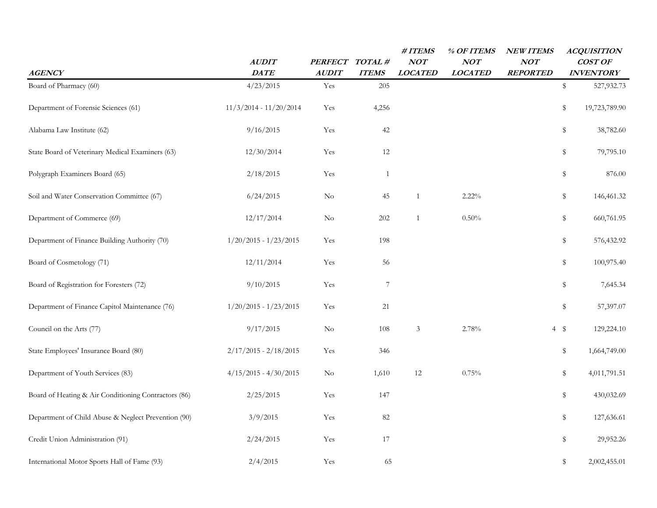| <b>AGENCY</b>                                        | <b>AUDIT</b><br><b>DATE</b> | PERFECT TOTAL #<br><b>AUDIT</b> | <b>ITEMS</b>     | #ITEMS<br>NOT<br><b>LOCATED</b> | % OF ITEMS<br>NOT<br><b>LOCATED</b> | <b>NEW ITEMS</b><br>NOT<br><b>REPORTED</b> |           | <b>ACQUISITION</b><br>COST OF<br><b>INVENTORY</b> |
|------------------------------------------------------|-----------------------------|---------------------------------|------------------|---------------------------------|-------------------------------------|--------------------------------------------|-----------|---------------------------------------------------|
| Board of Pharmacy (60)                               | 4/23/2015                   | Yes                             | 205              |                                 |                                     |                                            | \$        | 527,932.73                                        |
| Department of Forensic Sciences (61)                 | $11/3/2014 - 11/20/2014$    | Yes                             | 4,256            |                                 |                                     |                                            | \$        | 19,723,789.90                                     |
| Alabama Law Institute (62)                           | 9/16/2015                   | Yes                             | 42               |                                 |                                     |                                            | \$        | 38,782.60                                         |
| State Board of Veterinary Medical Examiners (63)     | 12/30/2014                  | Yes                             | 12               |                                 |                                     |                                            | \$        | 79,795.10                                         |
| Polygraph Examiners Board (65)                       | 2/18/2015                   | Yes                             | 1                |                                 |                                     |                                            | \$        | 876.00                                            |
| Soil and Water Conservation Committee (67)           | 6/24/2015                   | $\rm No$                        | 45               | 1                               | $2.22\%$                            |                                            | \$        | 146,461.32                                        |
| Department of Commerce (69)                          | 12/17/2014                  | $\rm No$                        | 202              | 1                               | 0.50%                               |                                            | \$        | 660,761.95                                        |
| Department of Finance Building Authority (70)        | $1/20/2015 - 1/23/2015$     | Yes                             | 198              |                                 |                                     |                                            | \$        | 576,432.92                                        |
| Board of Cosmetology (71)                            | 12/11/2014                  | Yes                             | 56               |                                 |                                     |                                            | \$        | 100,975.40                                        |
| Board of Registration for Foresters (72)             | 9/10/2015                   | Yes                             | $\boldsymbol{7}$ |                                 |                                     |                                            | \$        | 7,645.34                                          |
| Department of Finance Capitol Maintenance (76)       | $1/20/2015 - 1/23/2015$     | Yes                             | 21               |                                 |                                     |                                            | \$        | 57,397.07                                         |
| Council on the Arts (77)                             | 9/17/2015                   | $\rm No$                        | 108              | $\mathfrak{Z}$                  | 2.78%                               |                                            | $4 \quad$ | 129,224.10                                        |
| State Employees' Insurance Board (80)                | $2/17/2015 - 2/18/2015$     | Yes                             | 346              |                                 |                                     |                                            | \$        | 1,664,749.00                                      |
| Department of Youth Services (83)                    | $4/15/2015 - 4/30/2015$     | $\rm No$                        | 1,610            | 12                              | 0.75%                               |                                            | \$        | 4,011,791.51                                      |
| Board of Heating & Air Conditioning Contractors (86) | 2/25/2015                   | Yes                             | 147              |                                 |                                     |                                            | \$        | 430,032.69                                        |
| Department of Child Abuse & Neglect Prevention (90)  | 3/9/2015                    | Yes                             | 82               |                                 |                                     |                                            | \$        | 127,636.61                                        |
| Credit Union Administration (91)                     | 2/24/2015                   | Yes                             | 17               |                                 |                                     |                                            | \$        | 29,952.26                                         |
| International Motor Sports Hall of Fame (93)         | 2/4/2015                    | Yes                             | 65               |                                 |                                     |                                            | \$        | 2,002,455.01                                      |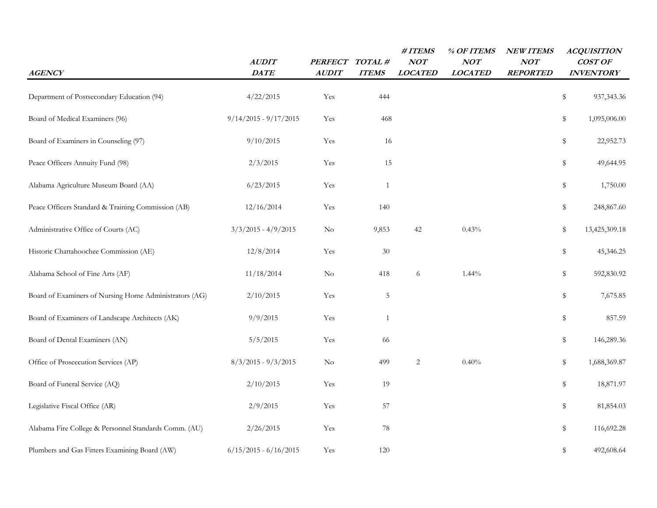| <b>AGENCY</b>                                          | <b>AUDIT</b><br><b>DATE</b> | <b>PERFECT</b><br><b>AUDIT</b> | TOTAL#<br><b>ITEMS</b> | #ITEMS<br>NOT<br><b>LOCATED</b> | % OF ITEMS<br>NOT<br><b>LOCATED</b> | <b>NEW ITEMS</b><br>NOT<br><b>REPORTED</b> | <b>ACQUISITION</b><br>COST OF<br><b>INVENTORY</b> |
|--------------------------------------------------------|-----------------------------|--------------------------------|------------------------|---------------------------------|-------------------------------------|--------------------------------------------|---------------------------------------------------|
| Department of Postsecondary Education (94)             | 4/22/2015                   | Yes                            | 444                    |                                 |                                     |                                            | \$<br>937, 343. 36                                |
| Board of Medical Examiners (96)                        | $9/14/2015 - 9/17/2015$     | Yes                            | 468                    |                                 |                                     |                                            | \$<br>1,095,006.00                                |
| Board of Examiners in Counseling (97)                  | 9/10/2015                   | Yes                            | 16                     |                                 |                                     |                                            | \$<br>22,952.73                                   |
| Peace Officers Annuity Fund (98)                       | 2/3/2015                    | Yes                            | 15                     |                                 |                                     |                                            | \$<br>49,644.95                                   |
| Alabama Agriculture Museum Board (AA)                  | 6/23/2015                   | Yes                            | $\mathbf{1}$           |                                 |                                     |                                            | \$<br>1,750.00                                    |
| Peace Officers Standard & Training Commission (AB)     | 12/16/2014                  | Yes                            | 140                    |                                 |                                     |                                            | \$<br>248,867.60                                  |
| Administrative Office of Courts (AC)                   | $3/3/2015 - 4/9/2015$       | $\rm No$                       | 9,853                  | 42                              | 0.43%                               |                                            | \$<br>13,425,309.18                               |
| Historic Chattahoochee Commission (AE)                 | 12/8/2014                   | Yes                            | 30                     |                                 |                                     |                                            | \$<br>45,346.25                                   |
| Alabama School of Fine Arts (AF)                       | 11/18/2014                  | $\rm No$                       | 418                    | 6                               | $1.44\%$                            |                                            | \$<br>592,830.92                                  |
| Board of Examiners of Nursing Home Administrators (AG) | 2/10/2015                   | Yes                            | 5                      |                                 |                                     |                                            | \$<br>7,675.85                                    |
| Board of Examiners of Landscape Architects (AK)        | 9/9/2015                    | Yes                            | $\mathbf{1}$           |                                 |                                     |                                            | \$<br>857.59                                      |
| Board of Dental Examiners (AN)                         | 5/5/2015                    | Yes                            | 66                     |                                 |                                     |                                            | \$<br>146,289.36                                  |
| Office of Proscecution Services (AP)                   | $8/3/2015 - 9/3/2015$       | $\rm No$                       | 499                    | $\sqrt{2}$                      | 0.40%                               |                                            | \$<br>1,688,369.87                                |
| Board of Funeral Service (AQ)                          | 2/10/2015                   | Yes                            | 19                     |                                 |                                     |                                            | \$<br>18,871.97                                   |
| Legislative Fiscal Office (AR)                         | 2/9/2015                    | Yes                            | 57                     |                                 |                                     |                                            | \$<br>81,854.03                                   |
| Alabama Fire College & Personnel Standards Comm. (AU)  | 2/26/2015                   | Yes                            | 78                     |                                 |                                     |                                            | \$<br>116,692.28                                  |
| Plumbers and Gas Fitters Examining Board (AW)          | $6/15/2015 - 6/16/2015$     | Yes                            | 120                    |                                 |                                     |                                            | \$<br>492,608.64                                  |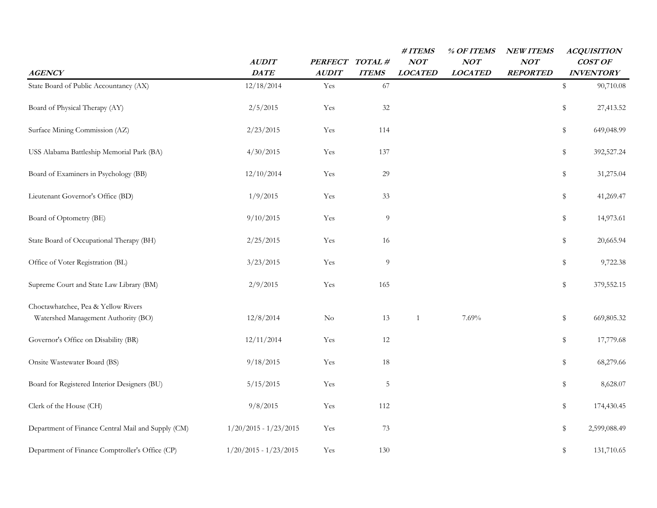| <b>AGENCY</b>                                                              | <b>AUDIT</b><br>DATE    | <b>PERFECT</b><br><b>AUDIT</b> | TOTAL#<br><b>ITEMS</b> | #ITEMS<br>NOT<br><b>LOCATED</b> | % OF ITEMS<br><b>NOT</b><br><b>LOCATED</b> | <b>NEW ITEMS</b><br>NOT<br><b>REPORTED</b> | <b>ACQUISITION</b><br>COST OF<br><b>INVENTORY</b> |
|----------------------------------------------------------------------------|-------------------------|--------------------------------|------------------------|---------------------------------|--------------------------------------------|--------------------------------------------|---------------------------------------------------|
| State Board of Public Accountancy (AX)                                     | 12/18/2014              | Yes                            | 67                     |                                 |                                            |                                            | \$<br>90,710.08                                   |
| Board of Physical Therapy (AY)                                             | 2/5/2015                | Yes                            | 32                     |                                 |                                            |                                            | \$<br>27,413.52                                   |
| Surface Mining Commission (AZ)                                             | 2/23/2015               | Yes                            | 114                    |                                 |                                            |                                            | \$<br>649,048.99                                  |
| USS Alabama Battleship Memorial Park (BA)                                  | 4/30/2015               | Yes                            | 137                    |                                 |                                            |                                            | \$<br>392,527.24                                  |
| Board of Examiners in Psychology (BB)                                      | 12/10/2014              | Yes                            | 29                     |                                 |                                            |                                            | \$<br>31,275.04                                   |
| Lieutenant Governor's Office (BD)                                          | 1/9/2015                | Yes                            | 33                     |                                 |                                            |                                            | \$<br>41,269.47                                   |
| Board of Optometry (BE)                                                    | 9/10/2015               | Yes                            | 9                      |                                 |                                            |                                            | \$<br>14,973.61                                   |
| State Board of Occupational Therapy (BH)                                   | 2/25/2015               | Yes                            | 16                     |                                 |                                            |                                            | \$<br>20,665.94                                   |
| Office of Voter Registration (BL)                                          | 3/23/2015               | Yes                            | 9                      |                                 |                                            |                                            | \$<br>9,722.38                                    |
| Supreme Court and State Law Library (BM)                                   | 2/9/2015                | Yes                            | 165                    |                                 |                                            |                                            | \$<br>379,552.15                                  |
| Choctawhatchee, Pea & Yellow Rivers<br>Watershed Management Authority (BO) | 12/8/2014               | $\rm No$                       | 13                     | $\mathbf{1}$                    | 7.69%                                      |                                            | \$<br>669,805.32                                  |
| Governor's Office on Disability (BR)                                       | 12/11/2014              | Yes                            | 12                     |                                 |                                            |                                            | \$<br>17,779.68                                   |
| Onsite Wastewater Board (BS)                                               | 9/18/2015               | Yes                            | 18                     |                                 |                                            |                                            | \$<br>68,279.66                                   |
| Board for Registered Interior Designers (BU)                               | 5/15/2015               | Yes                            | $\mathbf 5$            |                                 |                                            |                                            | \$<br>8,628.07                                    |
| Clerk of the House (CH)                                                    | 9/8/2015                | Yes                            | 112                    |                                 |                                            |                                            | \$<br>174,430.45                                  |
| Department of Finance Central Mail and Supply (CM)                         | $1/20/2015 - 1/23/2015$ | Yes                            | 73                     |                                 |                                            |                                            | \$<br>2,599,088.49                                |
| Department of Finance Comptroller's Office (CP)                            | $1/20/2015 - 1/23/2015$ | Yes                            | 130                    |                                 |                                            |                                            | \$<br>131,710.65                                  |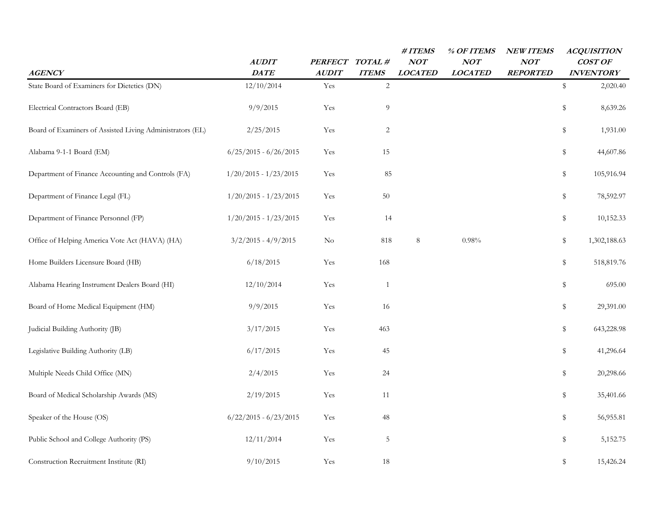| <b>AGENCY</b>                                             | <b>AUDIT</b><br><b>DATE</b> | <b>PERFECT</b><br><b>AUDIT</b> | TOTAL#<br><b>ITEMS</b> | #ITEMS<br>NOT<br><b>LOCATED</b> | % OF ITEMS<br>NOT<br><b>LOCATED</b> | <b>NEW ITEMS</b><br>NOT<br><b>REPORTED</b> | <b>ACQUISITION</b><br>COST OF<br><b>INVENTORY</b> |
|-----------------------------------------------------------|-----------------------------|--------------------------------|------------------------|---------------------------------|-------------------------------------|--------------------------------------------|---------------------------------------------------|
| State Board of Examiners for Dietetics (DN)               | 12/10/2014                  | Yes                            | $\overline{2}$         |                                 |                                     |                                            | \$<br>2,020.40                                    |
| Electrical Contractors Board (EB)                         | 9/9/2015                    | Yes                            | 9                      |                                 |                                     |                                            | \$<br>8,639.26                                    |
| Board of Examiners of Assisted Living Administrators (EL) | 2/25/2015                   | Yes                            | $\overline{2}$         |                                 |                                     |                                            | \$<br>1,931.00                                    |
| Alabama 9-1-1 Board (EM)                                  | $6/25/2015 - 6/26/2015$     | Yes                            | 15                     |                                 |                                     |                                            | \$<br>44,607.86                                   |
| Department of Finance Accounting and Controls (FA)        | $1/20/2015 - 1/23/2015$     | Yes                            | 85                     |                                 |                                     |                                            | \$<br>105,916.94                                  |
| Department of Finance Legal (FL)                          | $1/20/2015 - 1/23/2015$     | Yes                            | 50                     |                                 |                                     |                                            | \$<br>78,592.97                                   |
| Department of Finance Personnel (FP)                      | $1/20/2015 - 1/23/2015$     | Yes                            | 14                     |                                 |                                     |                                            | \$<br>10,152.33                                   |
| Office of Helping America Vote Act (HAVA) (HA)            | $3/2/2015 - 4/9/2015$       | $\rm No$                       | 818                    | 8                               | 0.98%                               |                                            | \$<br>1,302,188.63                                |
| Home Builders Licensure Board (HB)                        | 6/18/2015                   | Yes                            | 168                    |                                 |                                     |                                            | \$<br>518,819.76                                  |
| Alabama Hearing Instrument Dealers Board (HI)             | 12/10/2014                  | Yes                            | 1                      |                                 |                                     |                                            | \$<br>695.00                                      |
| Board of Home Medical Equipment (HM)                      | 9/9/2015                    | Yes                            | 16                     |                                 |                                     |                                            | \$<br>29,391.00                                   |
| Judicial Building Authority (JB)                          | 3/17/2015                   | Yes                            | 463                    |                                 |                                     |                                            | \$<br>643,228.98                                  |
| Legislative Building Authority (LB)                       | 6/17/2015                   | Yes                            | 45                     |                                 |                                     |                                            | \$<br>41,296.64                                   |
| Multiple Needs Child Office (MN)                          | 2/4/2015                    | Yes                            | 24                     |                                 |                                     |                                            | \$<br>20,298.66                                   |
| Board of Medical Scholarship Awards (MS)                  | 2/19/2015                   | Yes                            | 11                     |                                 |                                     |                                            | \$<br>35,401.66                                   |
| Speaker of the House (OS)                                 | $6/22/2015 - 6/23/2015$     | Yes                            | 48                     |                                 |                                     |                                            | \$<br>56,955.81                                   |
| Public School and College Authority (PS)                  | 12/11/2014                  | Yes                            | $\mathbf 5$            |                                 |                                     |                                            | \$<br>5,152.75                                    |
| Construction Recruitment Institute (RI)                   | 9/10/2015                   | Yes                            | 18                     |                                 |                                     |                                            | \$<br>15,426.24                                   |